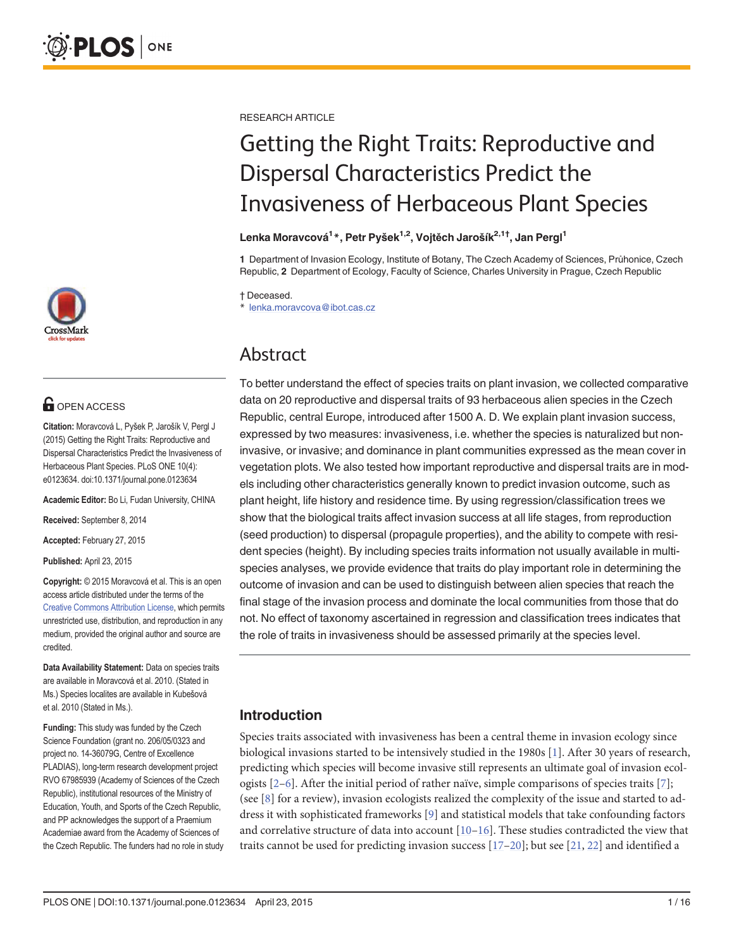

# **G** OPEN ACCESS

Citation: Moravcová L, Pyšek P, Jarošík V, Pergl J (2015) Getting the Right Traits: Reproductive and Dispersal Characteristics Predict the Invasiveness of Herbaceous Plant Species. PLoS ONE 10(4): e0123634. doi:10.1371/journal.pone.0123634

Academic Editor: Bo Li, Fudan University, CHINA

Received: September 8, 2014

Accepted: February 27, 2015

Published: April 23, 2015

Copyright: © 2015 Moravcová et al. This is an open access article distributed under the terms of the [Creative Commons Attribution License,](http://creativecommons.org/licenses/by/4.0/) which permits unrestricted use, distribution, and reproduction in any medium, provided the original author and source are credited.

Data Availability Statement: Data on species traits are available in Moravcová et al. 2010. (Stated in Ms.) Species localites are available in Kubešová et al. 2010 (Stated in Ms.).

Funding: This study was funded by the Czech Science Foundation (grant no. 206/05/0323 and project no. 14-36079G, Centre of Excellence PLADIAS), long-term research development project RVO 67985939 (Academy of Sciences of the Czech Republic), institutional resources of the Ministry of Education, Youth, and Sports of the Czech Republic, and PP acknowledges the support of a Praemium Academiae award from the Academy of Sciences of the Czech Republic. The funders had no role in study <span id="page-0-0"></span>RESEARCH ARTICLE

# Getting the Right Traits: Reproductive and Dispersal Characteristics Predict the Invasiveness of Herbaceous Plant Species

### Lenka Moravcová<sup>1</sup>\*, Petr Pyšek<sup>1,2</sup>, Vojtěch Jarošík<sup>2,1†</sup>, Jan Pergl<sup>1</sup>

1 Department of Invasion Ecology, Institute of Botany, The Czech Academy of Sciences, Průhonice, Czech Republic, 2 Department of Ecology, Faculty of Science, Charles University in Prague, Czech Republic

† Deceased.

\* lenka.moravcova@ibot.cas.cz

# Abstract

To better understand the effect of species traits on plant invasion, we collected comparative data on 20 reproductive and dispersal traits of 93 herbaceous alien species in the Czech Republic, central Europe, introduced after 1500 A. D. We explain plant invasion success, expressed by two measures: invasiveness, i.e. whether the species is naturalized but noninvasive, or invasive; and dominance in plant communities expressed as the mean cover in vegetation plots. We also tested how important reproductive and dispersal traits are in models including other characteristics generally known to predict invasion outcome, such as plant height, life history and residence time. By using regression/classification trees we show that the biological traits affect invasion success at all life stages, from reproduction (seed production) to dispersal (propagule properties), and the ability to compete with resident species (height). By including species traits information not usually available in multispecies analyses, we provide evidence that traits do play important role in determining the outcome of invasion and can be used to distinguish between alien species that reach the final stage of the invasion process and dominate the local communities from those that do not. No effect of taxonomy ascertained in regression and classification trees indicates that the role of traits in invasiveness should be assessed primarily at the species level.

# Introduction

Species traits associated with invasiveness has been a central theme in invasion ecology since biological invasions started to be intensively studied in the [1](#page-11-0)980s  $[1]$ . After 30 years of research, predicting which species will become invasive still represents an ultimate goal of invasion ecologists  $[2-6]$  $[2-6]$  $[2-6]$ . After the initial period of rather naïve, simple comparisons of species traits  $[7]$ ; (see  $[8]$  for a review), invasion ecologists realized the complexity of the issue and started to address it with sophisticated frameworks [\[9](#page-11-0)] and statistical models that take confounding factors and correlative structure of data into account  $[10-16]$  $[10-16]$  $[10-16]$  $[10-16]$  $[10-16]$ . These studies contradicted the view that traits cannot be used for predicting invasion success  $[17-20]$  $[17-20]$  $[17-20]$  $[17-20]$  $[17-20]$ ; but see  $[21, 22]$  $[21, 22]$  $[21, 22]$  $[21, 22]$  and identified a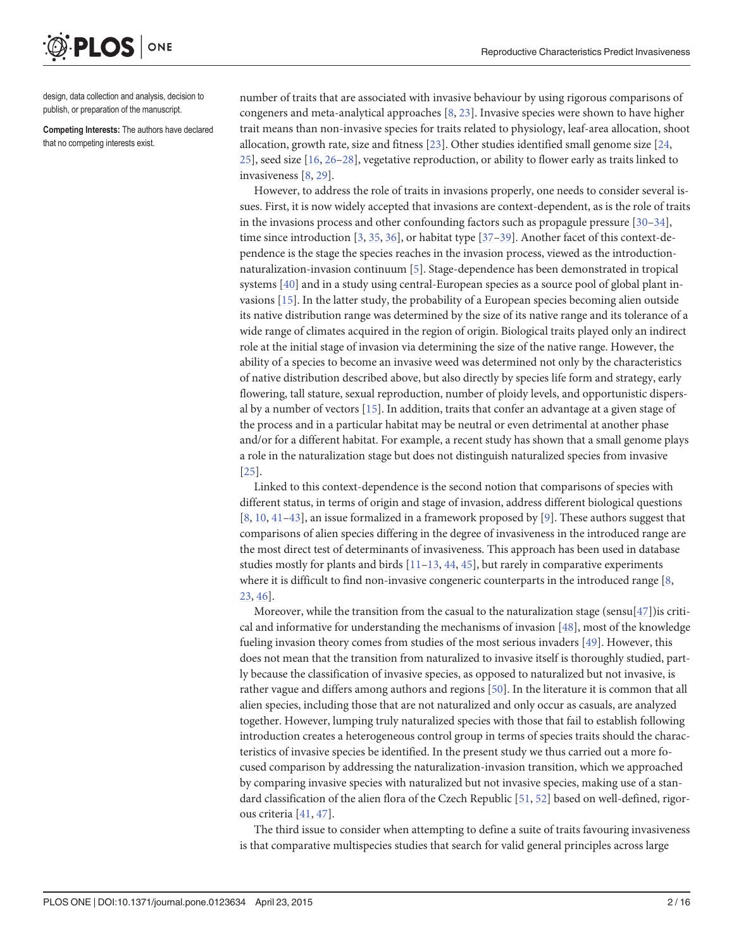<span id="page-1-0"></span>**PLOS I** ONE

design, data collection and analysis, decision to publish, or preparation of the manuscript.

Competing Interests: The authors have declared that no competing interests exist.

number of traits that are associated with invasive behaviour by using rigorous comparisons of congeners and meta-analytical approaches [[8,](#page-11-0) [23\]](#page-11-0). Invasive species were shown to have higher trait means than non-invasive species for traits related to physiology, leaf-area allocation, shoot allocation, growth rate, size and fitness [[23](#page-11-0)]. Other studies identified small genome size [[24,](#page-11-0) [25\]](#page-12-0), seed size [\[16,](#page-11-0) [26](#page-12-0)–[28](#page-12-0)], vegetative reproduction, or ability to flower early as traits linked to invasiveness [[8](#page-11-0), [29](#page-12-0)].

However, to address the role of traits in invasions properly, one needs to consider several issues. First, it is now widely accepted that invasions are context-dependent, as is the role of traits in the invasions process and other confounding factors such as propagule pressure  $[30-34]$  $[30-34]$  $[30-34]$  $[30-34]$  $[30-34]$ , time since introduction  $[3, 35, 36]$  $[3, 35, 36]$  $[3, 35, 36]$  $[3, 35, 36]$  $[3, 35, 36]$  $[3, 35, 36]$ , or habitat type  $[37–39]$  $[37–39]$  $[37–39]$ . Another facet of this context-dependence is the stage the species reaches in the invasion process, viewed as the introductionnaturalization-invasion continuum [\[5\]](#page-11-0). Stage-dependence has been demonstrated in tropical systems [[40](#page-12-0)] and in a study using central-European species as a source pool of global plant invasions [[15\]](#page-11-0). In the latter study, the probability of a European species becoming alien outside its native distribution range was determined by the size of its native range and its tolerance of a wide range of climates acquired in the region of origin. Biological traits played only an indirect role at the initial stage of invasion via determining the size of the native range. However, the ability of a species to become an invasive weed was determined not only by the characteristics of native distribution described above, but also directly by species life form and strategy, early flowering, tall stature, sexual reproduction, number of ploidy levels, and opportunistic dispersal by a number of vectors [\[15\]](#page-11-0). In addition, traits that confer an advantage at a given stage of the process and in a particular habitat may be neutral or even detrimental at another phase and/or for a different habitat. For example, a recent study has shown that a small genome plays a role in the naturalization stage but does not distinguish naturalized species from invasive [\[25](#page-12-0)].

Linked to this context-dependence is the second notion that comparisons of species with different status, in terms of origin and stage of invasion, address different biological questions [\[8](#page-11-0), [10](#page-11-0), [41](#page-12-0)–[43\]](#page-12-0), an issue formalized in a framework proposed by [\[9](#page-11-0)]. These authors suggest that comparisons of alien species differing in the degree of invasiveness in the introduced range are the most direct test of determinants of invasiveness. This approach has been used in database studies mostly for plants and birds  $[11–13, 44, 45]$  $[11–13, 44, 45]$  $[11–13, 44, 45]$  $[11–13, 44, 45]$  $[11–13, 44, 45]$  $[11–13, 44, 45]$  $[11–13, 44, 45]$  $[11–13, 44, 45]$  $[11–13, 44, 45]$ , but rarely in comparative experiments where it is difficult to find non-invasive congeneric counterparts in the introduced range [\[8,](#page-11-0) [23,](#page-11-0) [46\]](#page-12-0).

Moreover, while the transition from the casual to the naturalization stage (sensu $[47]$  $[47]$ )is critical and informative for understanding the mechanisms of invasion [\[48\]](#page-12-0), most of the knowledge fueling invasion theory comes from studies of the most serious invaders [[49](#page-13-0)]. However, this does not mean that the transition from naturalized to invasive itself is thoroughly studied, partly because the classification of invasive species, as opposed to naturalized but not invasive, is rather vague and differs among authors and regions [\[50\]](#page-13-0). In the literature it is common that all alien species, including those that are not naturalized and only occur as casuals, are analyzed together. However, lumping truly naturalized species with those that fail to establish following introduction creates a heterogeneous control group in terms of species traits should the characteristics of invasive species be identified. In the present study we thus carried out a more focused comparison by addressing the naturalization-invasion transition, which we approached by comparing invasive species with naturalized but not invasive species, making use of a standard classification of the alien flora of the Czech Republic [[51](#page-13-0), [52](#page-13-0)] based on well-defined, rigorous criteria [[41,](#page-12-0) [47\]](#page-12-0).

The third issue to consider when attempting to define a suite of traits favouring invasiveness is that comparative multispecies studies that search for valid general principles across large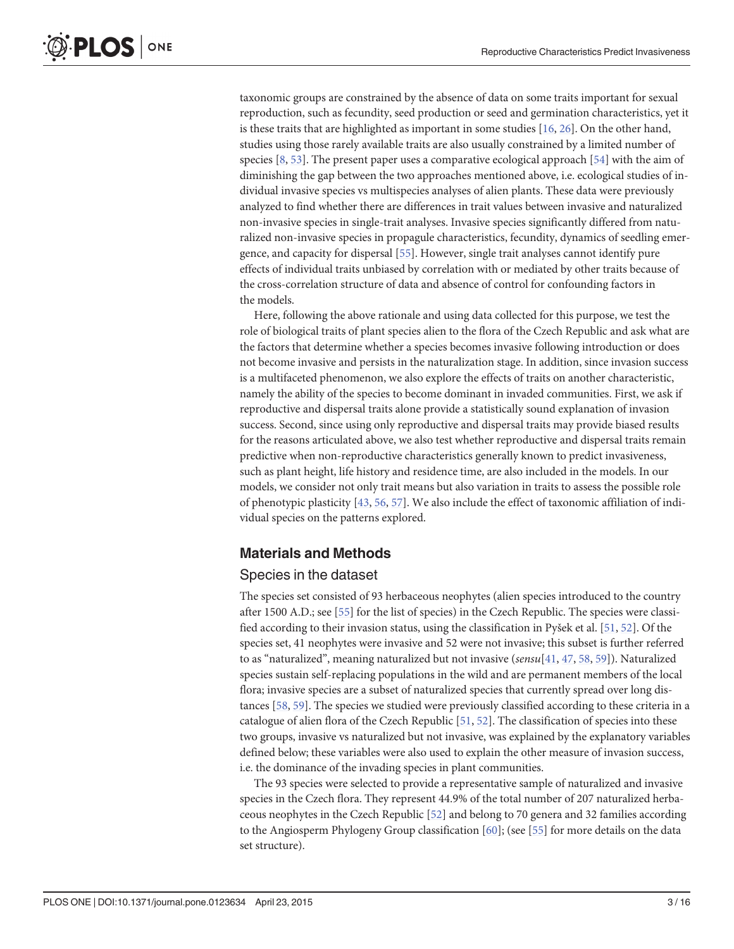<span id="page-2-0"></span>taxonomic groups are constrained by the absence of data on some traits important for sexual reproduction, such as fecundity, seed production or seed and germination characteristics, yet it is these traits that are highlighted as important in some studies  $[16, 26]$  $[16, 26]$  $[16, 26]$  $[16, 26]$  $[16, 26]$ . On the other hand, studies using those rarely available traits are also usually constrained by a limited number of species [\[8](#page-11-0), [53](#page-13-0)]. The present paper uses a comparative ecological approach [\[54\]](#page-13-0) with the aim of diminishing the gap between the two approaches mentioned above, i.e. ecological studies of individual invasive species vs multispecies analyses of alien plants. These data were previously analyzed to find whether there are differences in trait values between invasive and naturalized non-invasive species in single-trait analyses. Invasive species significantly differed from naturalized non-invasive species in propagule characteristics, fecundity, dynamics of seedling emergence, and capacity for dispersal [\[55\]](#page-13-0). However, single trait analyses cannot identify pure effects of individual traits unbiased by correlation with or mediated by other traits because of the cross-correlation structure of data and absence of control for confounding factors in the models.

Here, following the above rationale and using data collected for this purpose, we test the role of biological traits of plant species alien to the flora of the Czech Republic and ask what are the factors that determine whether a species becomes invasive following introduction or does not become invasive and persists in the naturalization stage. In addition, since invasion success is a multifaceted phenomenon, we also explore the effects of traits on another characteristic, namely the ability of the species to become dominant in invaded communities. First, we ask if reproductive and dispersal traits alone provide a statistically sound explanation of invasion success. Second, since using only reproductive and dispersal traits may provide biased results for the reasons articulated above, we also test whether reproductive and dispersal traits remain predictive when non-reproductive characteristics generally known to predict invasiveness, such as plant height, life history and residence time, are also included in the models. In our models, we consider not only trait means but also variation in traits to assess the possible role of phenotypic plasticity [\[43](#page-12-0), [56](#page-13-0), [57](#page-13-0)]. We also include the effect of taxonomic affiliation of individual species on the patterns explored.

# Materials and Methods

# Species in the dataset

The species set consisted of 93 herbaceous neophytes (alien species introduced to the country after 1500 A.D.; see [\[55\]](#page-13-0) for the list of species) in the Czech Republic. The species were classified according to their invasion status, using the classification in Pyšek et al. [\[51,](#page-13-0) [52\]](#page-13-0). Of the species set, 41 neophytes were invasive and 52 were not invasive; this subset is further referred to as "naturalized", meaning naturalized but not invasive ( $sensu[41, 47, 58, 59]$  $sensu[41, 47, 58, 59]$  $sensu[41, 47, 58, 59]$  $sensu[41, 47, 58, 59]$  $sensu[41, 47, 58, 59]$  $sensu[41, 47, 58, 59]$  $sensu[41, 47, 58, 59]$  $sensu[41, 47, 58, 59]$  $sensu[41, 47, 58, 59]$ ). Naturalized species sustain self-replacing populations in the wild and are permanent members of the local flora; invasive species are a subset of naturalized species that currently spread over long distances [\[58](#page-13-0), [59](#page-13-0)]. The species we studied were previously classified according to these criteria in a catalogue of alien flora of the Czech Republic [[51](#page-13-0), [52](#page-13-0)]. The classification of species into these two groups, invasive vs naturalized but not invasive, was explained by the explanatory variables defined below; these variables were also used to explain the other measure of invasion success, i.e. the dominance of the invading species in plant communities.

The 93 species were selected to provide a representative sample of naturalized and invasive species in the Czech flora. They represent 44.9% of the total number of 207 naturalized herbaceous neophytes in the Czech Republic [\[52\]](#page-13-0) and belong to 70 genera and 32 families according to the Angiosperm Phylogeny Group classification  $[60]$  $[60]$  $[60]$ ; (see  $[55]$  for more details on the data set structure).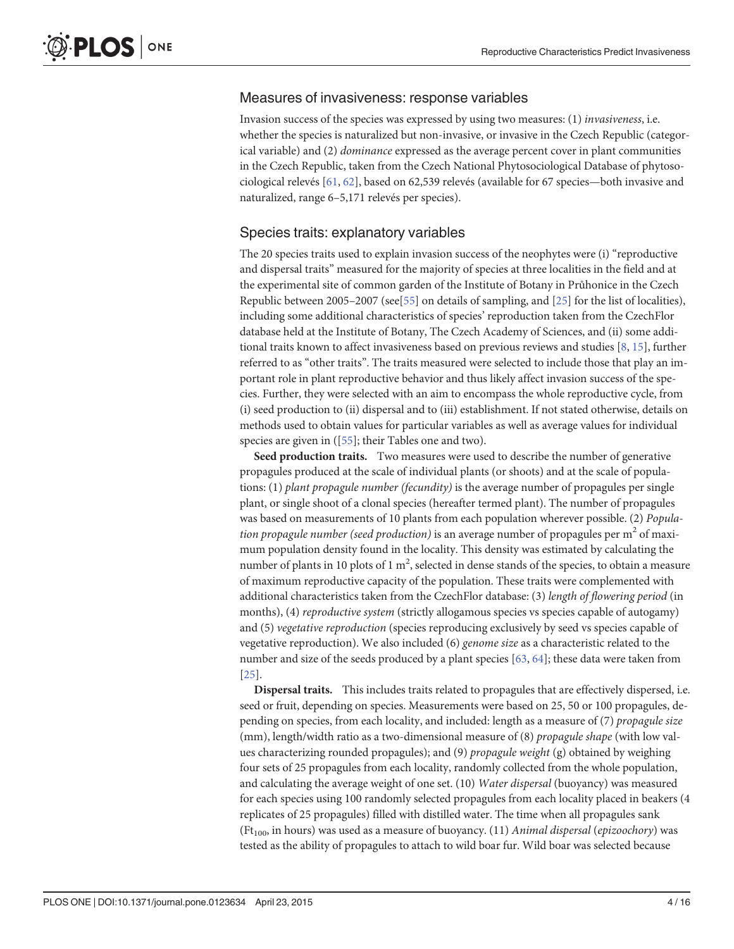### <span id="page-3-0"></span>Measures of invasiveness: response variables

Invasion success of the species was expressed by using two measures: (1) invasiveness, i.e. whether the species is naturalized but non-invasive, or invasive in the Czech Republic (categorical variable) and (2) dominance expressed as the average percent cover in plant communities in the Czech Republic, taken from the Czech National Phytosociological Database of phytosociological relevés [\[61,](#page-13-0) [62\]](#page-13-0), based on 62,539 relevés (available for 67 species—both invasive and naturalized, range 6–5,171 relevés per species).

### Species traits: explanatory variables

The 20 species traits used to explain invasion success of the neophytes were (i) "reproductive and dispersal traits" measured for the majority of species at three localities in the field and at the experimental site of common garden of the Institute of Botany in Průhonice in the Czech Republic between 2005–2007 (see[[55](#page-13-0)] on details of sampling, and [\[25\]](#page-12-0) for the list of localities), including some additional characteristics of species' reproduction taken from the CzechFlor database held at the Institute of Botany, The Czech Academy of Sciences, and (ii) some additional traits known to affect invasiveness based on previous reviews and studies [\[8](#page-11-0), [15\]](#page-11-0), further referred to as "other traits". The traits measured were selected to include those that play an important role in plant reproductive behavior and thus likely affect invasion success of the species. Further, they were selected with an aim to encompass the whole reproductive cycle, from (i) seed production to (ii) dispersal and to (iii) establishment. If not stated otherwise, details on methods used to obtain values for particular variables as well as average values for individual species are given in ([[55\]](#page-13-0); their Tables one and two).

Seed production traits. Two measures were used to describe the number of generative propagules produced at the scale of individual plants (or shoots) and at the scale of populations: (1) plant propagule number (fecundity) is the average number of propagules per single plant, or single shoot of a clonal species (hereafter termed plant). The number of propagules was based on measurements of 10 plants from each population wherever possible. (2) Population propagule number (seed production) is an average number of propagules per  $m<sup>2</sup>$  of maximum population density found in the locality. This density was estimated by calculating the number of plants in 10 plots of 1  $m^2$ , selected in dense stands of the species, to obtain a measure of maximum reproductive capacity of the population. These traits were complemented with additional characteristics taken from the CzechFlor database: (3) length of flowering period (in months), (4) reproductive system (strictly allogamous species vs species capable of autogamy) and (5) vegetative reproduction (species reproducing exclusively by seed vs species capable of vegetative reproduction). We also included (6) genome size as a characteristic related to the number and size of the seeds produced by a plant species  $[63, 64]$  $[63, 64]$  $[63, 64]$ ; these data were taken from [\[25](#page-12-0)].

Dispersal traits. This includes traits related to propagules that are effectively dispersed, i.e. seed or fruit, depending on species. Measurements were based on 25, 50 or 100 propagules, depending on species, from each locality, and included: length as a measure of (7) propagule size (mm), length/width ratio as a two-dimensional measure of (8) propagule shape (with low values characterizing rounded propagules); and (9) propagule weight (g) obtained by weighing four sets of 25 propagules from each locality, randomly collected from the whole population, and calculating the average weight of one set. (10) Water dispersal (buoyancy) was measured for each species using 100 randomly selected propagules from each locality placed in beakers (4 replicates of 25 propagules) filled with distilled water. The time when all propagules sank (Ft<sub>100</sub>, in hours) was used as a measure of buoyancy. (11) Animal dispersal (epizoochory) was tested as the ability of propagules to attach to wild boar fur. Wild boar was selected because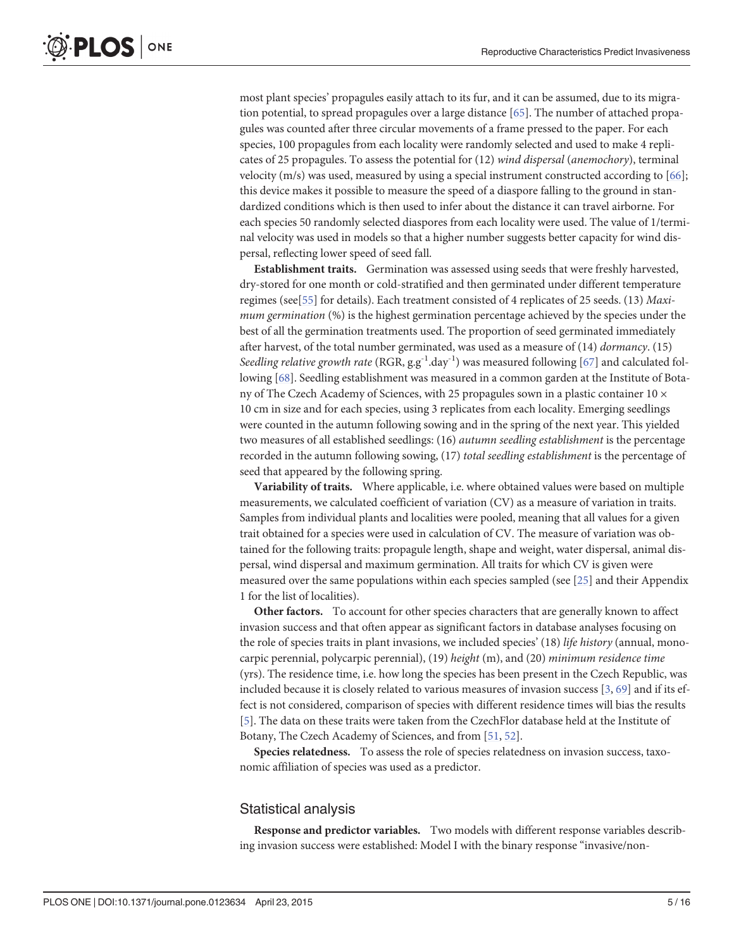<span id="page-4-0"></span>most plant species' propagules easily attach to its fur, and it can be assumed, due to its migration potential, to spread propagules over a large distance  $[65]$  $[65]$ . The number of attached propagules was counted after three circular movements of a frame pressed to the paper. For each species, 100 propagules from each locality were randomly selected and used to make 4 replicates of 25 propagules. To assess the potential for (12) wind dispersal (anemochory), terminal velocity (m/s) was used, measured by using a special instrument constructed according to  $[66]$  $[66]$  $[66]$ ; this device makes it possible to measure the speed of a diaspore falling to the ground in standardized conditions which is then used to infer about the distance it can travel airborne. For each species 50 randomly selected diaspores from each locality were used. The value of 1/terminal velocity was used in models so that a higher number suggests better capacity for wind dispersal, reflecting lower speed of seed fall.

Establishment traits. Germination was assessed using seeds that were freshly harvested, dry-stored for one month or cold-stratified and then germinated under different temperature regimes (see[[55\]](#page-13-0) for details). Each treatment consisted of 4 replicates of 25 seeds. (13) Maximum germination (%) is the highest germination percentage achieved by the species under the best of all the germination treatments used. The proportion of seed germinated immediately after harvest, of the total number germinated, was used as a measure of (14) dormancy. (15) Seedling relative growth rate (RGR,  $g.g^{-1}.day^{-1}$ ) was measured following [[67](#page-13-0)] and calculated following [\[68](#page-13-0)]. Seedling establishment was measured in a common garden at the Institute of Botany of The Czech Academy of Sciences, with 25 propagules sown in a plastic container  $10 \times$ 10 cm in size and for each species, using 3 replicates from each locality. Emerging seedlings were counted in the autumn following sowing and in the spring of the next year. This yielded two measures of all established seedlings: (16) *autumn seedling establishment* is the percentage recorded in the autumn following sowing, (17) total seedling establishment is the percentage of seed that appeared by the following spring.

Variability of traits. Where applicable, i.e. where obtained values were based on multiple measurements, we calculated coefficient of variation (CV) as a measure of variation in traits. Samples from individual plants and localities were pooled, meaning that all values for a given trait obtained for a species were used in calculation of CV. The measure of variation was obtained for the following traits: propagule length, shape and weight, water dispersal, animal dispersal, wind dispersal and maximum germination. All traits for which CV is given were measured over the same populations within each species sampled (see [[25](#page-12-0)] and their Appendix 1 for the list of localities).

Other factors. To account for other species characters that are generally known to affect invasion success and that often appear as significant factors in database analyses focusing on the role of species traits in plant invasions, we included species' (18) *life history* (annual, monocarpic perennial, polycarpic perennial), (19) height (m), and (20) minimum residence time (yrs). The residence time, i.e. how long the species has been present in the Czech Republic, was included because it is closely related to various measures of invasion success [[3](#page-11-0), [69](#page-13-0)] and if its effect is not considered, comparison of species with different residence times will bias the results [\[5](#page-11-0)]. The data on these traits were taken from the CzechFlor database held at the Institute of Botany, The Czech Academy of Sciences, and from [[51,](#page-13-0) [52\]](#page-13-0).

Species relatedness. To assess the role of species relatedness on invasion success, taxonomic affiliation of species was used as a predictor.

#### Statistical analysis

Response and predictor variables. Two models with different response variables describing invasion success were established: Model I with the binary response "invasive/non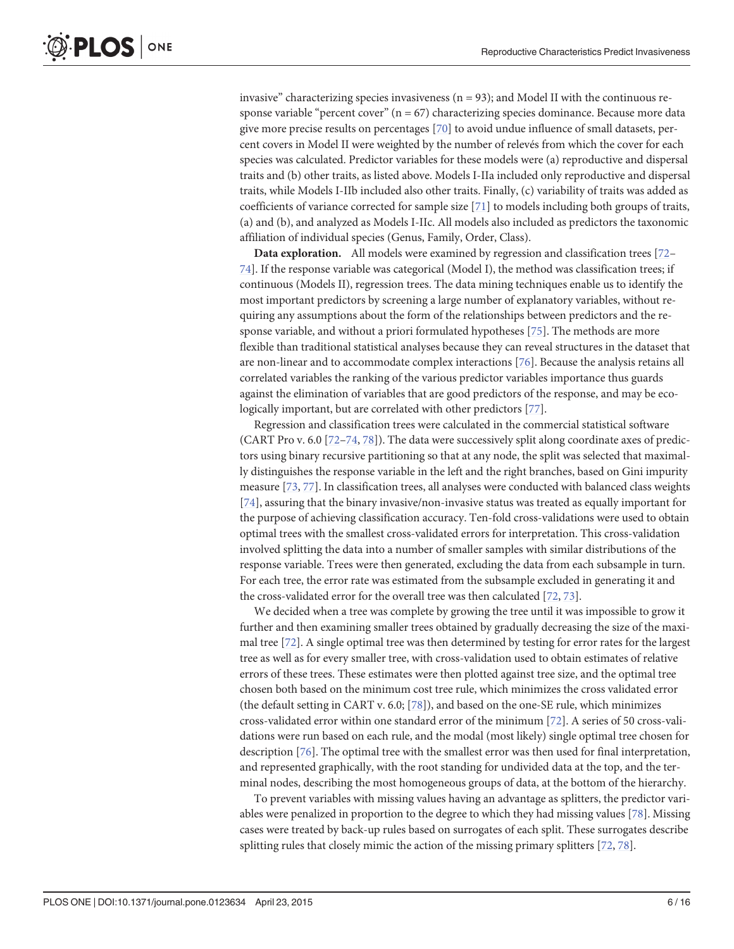<span id="page-5-0"></span>invasive" characterizing species invasiveness ( $n = 93$ ); and Model II with the continuous response variable "percent cover" ( $n = 67$ ) characterizing species dominance. Because more data give more precise results on percentages [\[70\]](#page-13-0) to avoid undue influence of small datasets, percent covers in Model II were weighted by the number of relevés from which the cover for each species was calculated. Predictor variables for these models were (a) reproductive and dispersal traits and (b) other traits, as listed above. Models I-IIa included only reproductive and dispersal traits, while Models I-IIb included also other traits. Finally, (c) variability of traits was added as coefficients of variance corrected for sample size [\[71\]](#page-13-0) to models including both groups of traits, (a) and (b), and analyzed as Models I-IIc. All models also included as predictors the taxonomic affiliation of individual species (Genus, Family, Order, Class).

Data exploration. All models were examined by regression and classification trees [\[72](#page-13-0)– [74\]](#page-13-0). If the response variable was categorical (Model I), the method was classification trees; if continuous (Models II), regression trees. The data mining techniques enable us to identify the most important predictors by screening a large number of explanatory variables, without requiring any assumptions about the form of the relationships between predictors and the response variable, and without a priori formulated hypotheses [\[75\]](#page-14-0). The methods are more flexible than traditional statistical analyses because they can reveal structures in the dataset that are non-linear and to accommodate complex interactions [[76\]](#page-14-0). Because the analysis retains all correlated variables the ranking of the various predictor variables importance thus guards against the elimination of variables that are good predictors of the response, and may be ecologically important, but are correlated with other predictors [\[77\]](#page-14-0).

Regression and classification trees were calculated in the commercial statistical software (CART Pro v. 6.0 [[72](#page-13-0)–[74](#page-13-0), [78](#page-14-0)]). The data were successively split along coordinate axes of predictors using binary recursive partitioning so that at any node, the split was selected that maximally distinguishes the response variable in the left and the right branches, based on Gini impurity measure [[73,](#page-13-0) [77](#page-14-0)]. In classification trees, all analyses were conducted with balanced class weights [\[74](#page-13-0)], assuring that the binary invasive/non-invasive status was treated as equally important for the purpose of achieving classification accuracy. Ten-fold cross-validations were used to obtain optimal trees with the smallest cross-validated errors for interpretation. This cross-validation involved splitting the data into a number of smaller samples with similar distributions of the response variable. Trees were then generated, excluding the data from each subsample in turn. For each tree, the error rate was estimated from the subsample excluded in generating it and the cross-validated error for the overall tree was then calculated [\[72,](#page-13-0) [73\]](#page-13-0).

We decided when a tree was complete by growing the tree until it was impossible to grow it further and then examining smaller trees obtained by gradually decreasing the size of the maximal tree [[72](#page-13-0)]. A single optimal tree was then determined by testing for error rates for the largest tree as well as for every smaller tree, with cross-validation used to obtain estimates of relative errors of these trees. These estimates were then plotted against tree size, and the optimal tree chosen both based on the minimum cost tree rule, which minimizes the cross validated error (the default setting in CART v. 6.0; [\[78\]](#page-14-0)), and based on the one-SE rule, which minimizes cross-validated error within one standard error of the minimum [\[72\]](#page-13-0). A series of 50 cross-validations were run based on each rule, and the modal (most likely) single optimal tree chosen for description [\[76\]](#page-14-0). The optimal tree with the smallest error was then used for final interpretation, and represented graphically, with the root standing for undivided data at the top, and the terminal nodes, describing the most homogeneous groups of data, at the bottom of the hierarchy.

To prevent variables with missing values having an advantage as splitters, the predictor variables were penalized in proportion to the degree to which they had missing values [\[78\]](#page-14-0). Missing cases were treated by back-up rules based on surrogates of each split. These surrogates describe splitting rules that closely mimic the action of the missing primary splitters [[72](#page-13-0), [78](#page-14-0)].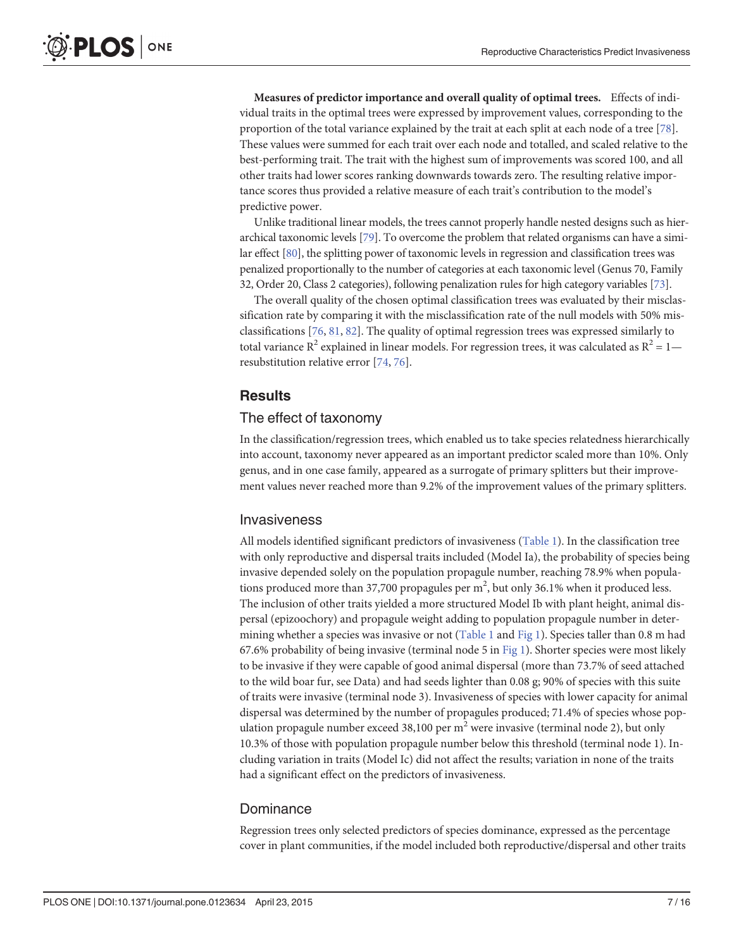<span id="page-6-0"></span>Measures of predictor importance and overall quality of optimal trees. Effects of individual traits in the optimal trees were expressed by improvement values, corresponding to the proportion of the total variance explained by the trait at each split at each node of a tree [[78](#page-14-0)]. These values were summed for each trait over each node and totalled, and scaled relative to the best-performing trait. The trait with the highest sum of improvements was scored 100, and all other traits had lower scores ranking downwards towards zero. The resulting relative importance scores thus provided a relative measure of each trait's contribution to the model's predictive power.

Unlike traditional linear models, the trees cannot properly handle nested designs such as hierarchical taxonomic levels [[79](#page-14-0)]. To overcome the problem that related organisms can have a similar effect [[80](#page-14-0)], the splitting power of taxonomic levels in regression and classification trees was penalized proportionally to the number of categories at each taxonomic level (Genus 70, Family 32, Order 20, Class 2 categories), following penalization rules for high category variables [[73](#page-13-0)].

The overall quality of the chosen optimal classification trees was evaluated by their misclassification rate by comparing it with the misclassification rate of the null models with 50% misclassifications [\[76,](#page-14-0) [81,](#page-14-0) [82\]](#page-14-0). The quality of optimal regression trees was expressed similarly to total variance  $R^2$  explained in linear models. For regression trees, it was calculated as  $R^2 = 1$  resubstitution relative error [[74](#page-13-0), [76](#page-14-0)].

# **Results**

# The effect of taxonomy

In the classification/regression trees, which enabled us to take species relatedness hierarchically into account, taxonomy never appeared as an important predictor scaled more than 10%. Only genus, and in one case family, appeared as a surrogate of primary splitters but their improvement values never reached more than 9.2% of the improvement values of the primary splitters.

## Invasiveness

All models identified significant predictors of invasiveness ([Table 1](#page-7-0)). In the classification tree with only reproductive and dispersal traits included (Model Ia), the probability of species being invasive depended solely on the population propagule number, reaching 78.9% when populations produced more than 37,700 propagules per  $m^2$ , but only 36.1% when it produced less. The inclusion of other traits yielded a more structured Model Ib with plant height, animal dispersal (epizoochory) and propagule weight adding to population propagule number in deter-mining whether a species was invasive or not [\(Table 1](#page-7-0) and [Fig 1](#page-7-0)). Species taller than 0.8 m had 67.6% probability of being invasive (terminal node 5 in  $Fig 1$ ). Shorter species were most likely to be invasive if they were capable of good animal dispersal (more than 73.7% of seed attached to the wild boar fur, see Data) and had seeds lighter than 0.08 g; 90% of species with this suite of traits were invasive (terminal node 3). Invasiveness of species with lower capacity for animal dispersal was determined by the number of propagules produced; 71.4% of species whose population propagule number exceed 38,100 per  $m<sup>2</sup>$  were invasive (terminal node 2), but only 10.3% of those with population propagule number below this threshold (terminal node 1). Including variation in traits (Model Ic) did not affect the results; variation in none of the traits had a significant effect on the predictors of invasiveness.

#### Dominance

Regression trees only selected predictors of species dominance, expressed as the percentage cover in plant communities, if the model included both reproductive/dispersal and other traits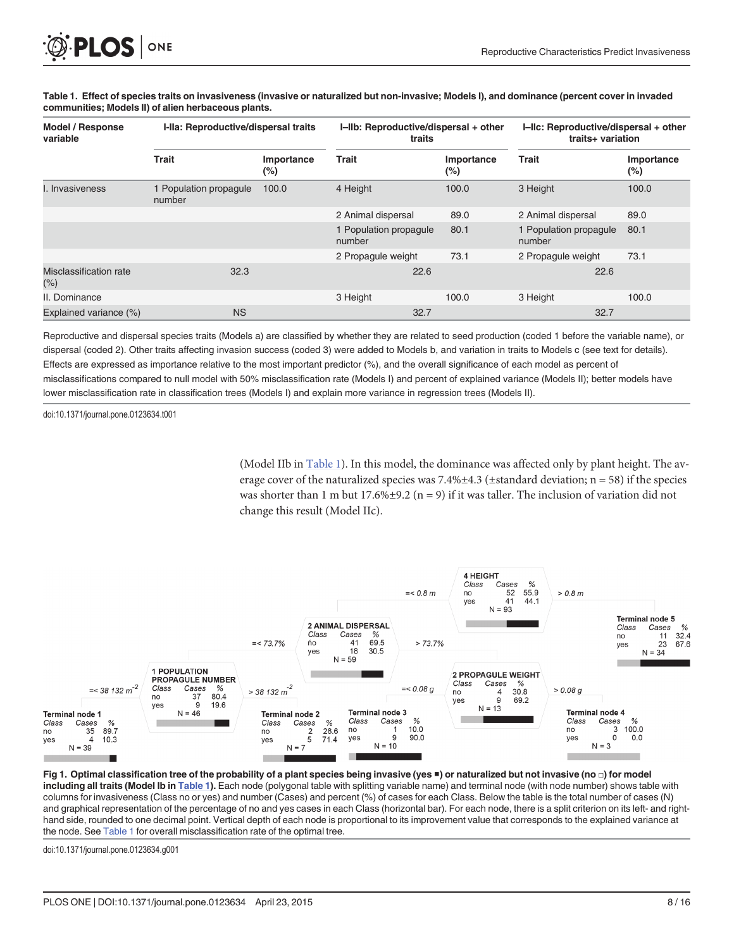| Model / Response<br>variable  | I-Ila: Reproductive/dispersal traits |                      | I-IIb: Reproductive/dispersal + other<br>traits |                      | I-IIc: Reproductive/dispersal + other<br>traits+ variation |                      |
|-------------------------------|--------------------------------------|----------------------|-------------------------------------------------|----------------------|------------------------------------------------------------|----------------------|
|                               | <b>Trait</b>                         | Importance<br>$(\%)$ | <b>Trait</b>                                    | Importance<br>$(\%)$ | <b>Trait</b>                                               | Importance<br>$(\%)$ |
| . Invasiveness                | 1 Population propagule<br>number     | 100.0                | 4 Height                                        | 100.0                | 3 Height                                                   | 100.0                |
|                               |                                      |                      | 2 Animal dispersal                              | 89.0                 | 2 Animal dispersal                                         | 89.0                 |
|                               |                                      |                      | 1 Population propagule<br>number                | 80.1                 | 1 Population propagule<br>number                           | 80.1                 |
|                               |                                      |                      | 2 Propagule weight                              | 73.1                 | 2 Propagule weight                                         | 73.1                 |
| Misclassification rate<br>(%) | 32.3                                 |                      | 22.6                                            |                      | 22.6                                                       |                      |
| II. Dominance                 |                                      |                      | 3 Height                                        | 100.0                | 3 Height                                                   | 100.0                |
| Explained variance (%)        | <b>NS</b>                            |                      | 32.7                                            |                      | 32.7                                                       |                      |

<span id="page-7-0"></span>[Table 1.](#page-6-0) Effect of species traits on invasiveness (invasive or naturalized but non-invasive; Models I), and dominance (percent cover in invaded communities; Models II) of alien herbaceous plants.

Reproductive and dispersal species traits (Models a) are classified by whether they are related to seed production (coded 1 before the variable name), or dispersal (coded 2). Other traits affecting invasion success (coded 3) were added to Models b, and variation in traits to Models c (see text for details). Effects are expressed as importance relative to the most important predictor (%), and the overall significance of each model as percent of misclassifications compared to null model with 50% misclassification rate (Models I) and percent of explained variance (Models II); better models have lower misclassification rate in classification trees (Models I) and explain more variance in regression trees (Models II).

doi:10.1371/journal.pone.0123634.t001

(Model IIb in Table 1). In this model, the dominance was affected only by plant height. The average cover of the naturalized species was  $7.4\% \pm 4.3$  ( $\pm$ standard deviation; n = 58) if the species was shorter than 1 m but 17.6% $\pm$ 9.2 (n = 9) if it was taller. The inclusion of variation did not change this result (Model IIc).



[Fig 1. O](#page-6-0)ptimal classification tree of the probability of a plant species being invasive (yes ■) or naturalized but not invasive (no □) for model including all traits (Model Ib in Table 1). Each node (polygonal table with splitting variable name) and terminal node (with node number) shows table with columns for invasiveness (Class no or yes) and number (Cases) and percent (%) of cases for each Class. Below the table is the total number of cases (N) and graphical representation of the percentage of no and yes cases in each Class (horizontal bar). For each node, there is a split criterion on its left- and righthand side, rounded to one decimal point. Vertical depth of each node is proportional to its improvement value that corresponds to the explained variance at the node. See Table 1 for overall misclassification rate of the optimal tree.

doi:10.1371/journal.pone.0123634.g001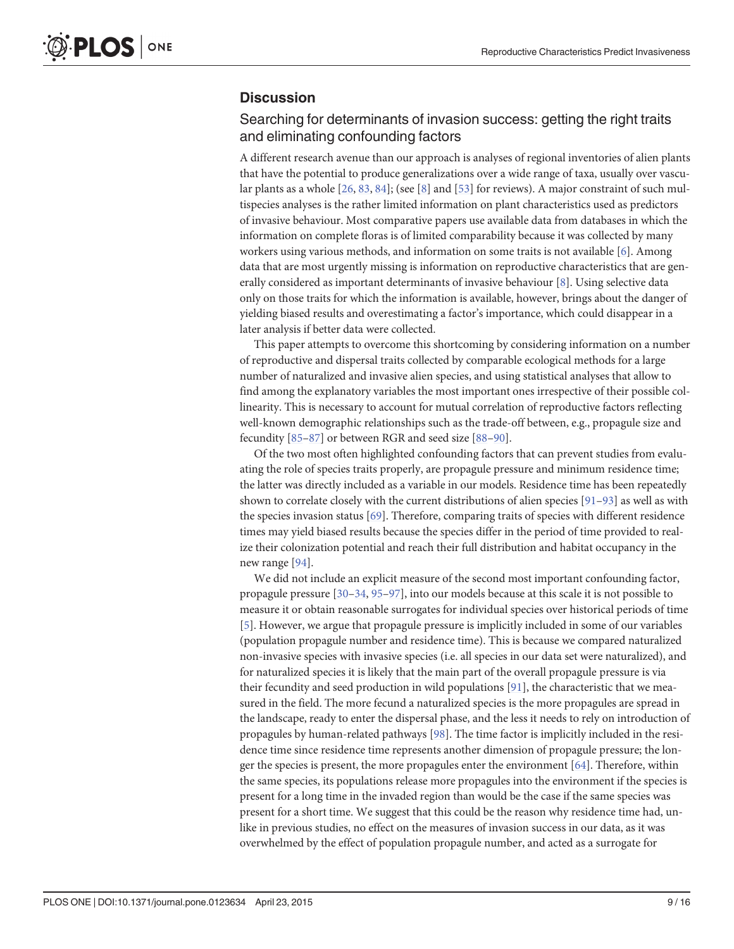# <span id="page-8-0"></span>**Discussion**

# Searching for determinants of invasion success: getting the right traits and eliminating confounding factors

A different research avenue than our approach is analyses of regional inventories of alien plants that have the potential to produce generalizations over a wide range of taxa, usually over vascular plants as a whole  $[26, 83, 84]$  $[26, 83, 84]$  $[26, 83, 84]$  $[26, 83, 84]$  $[26, 83, 84]$ ; (see [\[8](#page-11-0)] and [\[53\]](#page-13-0) for reviews). A major constraint of such multispecies analyses is the rather limited information on plant characteristics used as predictors of invasive behaviour. Most comparative papers use available data from databases in which the information on complete floras is of limited comparability because it was collected by many workers using various methods, and information on some traits is not available [\[6\]](#page-11-0). Among data that are most urgently missing is information on reproductive characteristics that are generally considered as important determinants of invasive behaviour [\[8](#page-11-0)]. Using selective data only on those traits for which the information is available, however, brings about the danger of yielding biased results and overestimating a factor's importance, which could disappear in a later analysis if better data were collected.

This paper attempts to overcome this shortcoming by considering information on a number of reproductive and dispersal traits collected by comparable ecological methods for a large number of naturalized and invasive alien species, and using statistical analyses that allow to find among the explanatory variables the most important ones irrespective of their possible collinearity. This is necessary to account for mutual correlation of reproductive factors reflecting well-known demographic relationships such as the trade-off between, e.g., propagule size and fecundity [[85](#page-14-0)–[87](#page-14-0)] or between RGR and seed size [\[88](#page-14-0)–[90](#page-14-0)].

Of the two most often highlighted confounding factors that can prevent studies from evaluating the role of species traits properly, are propagule pressure and minimum residence time; the latter was directly included as a variable in our models. Residence time has been repeatedly shown to correlate closely with the current distributions of alien species  $[91-93]$  $[91-93]$  $[91-93]$  $[91-93]$  $[91-93]$  as well as with the species invasion status  $[69]$ . Therefore, comparing traits of species with different residence times may yield biased results because the species differ in the period of time provided to realize their colonization potential and reach their full distribution and habitat occupancy in the new range [\[94](#page-14-0)].

We did not include an explicit measure of the second most important confounding factor, propagule pressure [\[30](#page-12-0)–[34](#page-12-0), [95](#page-14-0)–[97](#page-14-0)], into our models because at this scale it is not possible to measure it or obtain reasonable surrogates for individual species over historical periods of time [\[5](#page-11-0)]. However, we argue that propagule pressure is implicitly included in some of our variables (population propagule number and residence time). This is because we compared naturalized non-invasive species with invasive species (i.e. all species in our data set were naturalized), and for naturalized species it is likely that the main part of the overall propagule pressure is via their fecundity and seed production in wild populations [\[91\]](#page-14-0), the characteristic that we measured in the field. The more fecund a naturalized species is the more propagules are spread in the landscape, ready to enter the dispersal phase, and the less it needs to rely on introduction of propagules by human-related pathways [[98](#page-14-0)]. The time factor is implicitly included in the residence time since residence time represents another dimension of propagule pressure; the longer the species is present, the more propagules enter the environment  $[64]$  $[64]$  $[64]$ . Therefore, within the same species, its populations release more propagules into the environment if the species is present for a long time in the invaded region than would be the case if the same species was present for a short time. We suggest that this could be the reason why residence time had, unlike in previous studies, no effect on the measures of invasion success in our data, as it was overwhelmed by the effect of population propagule number, and acted as a surrogate for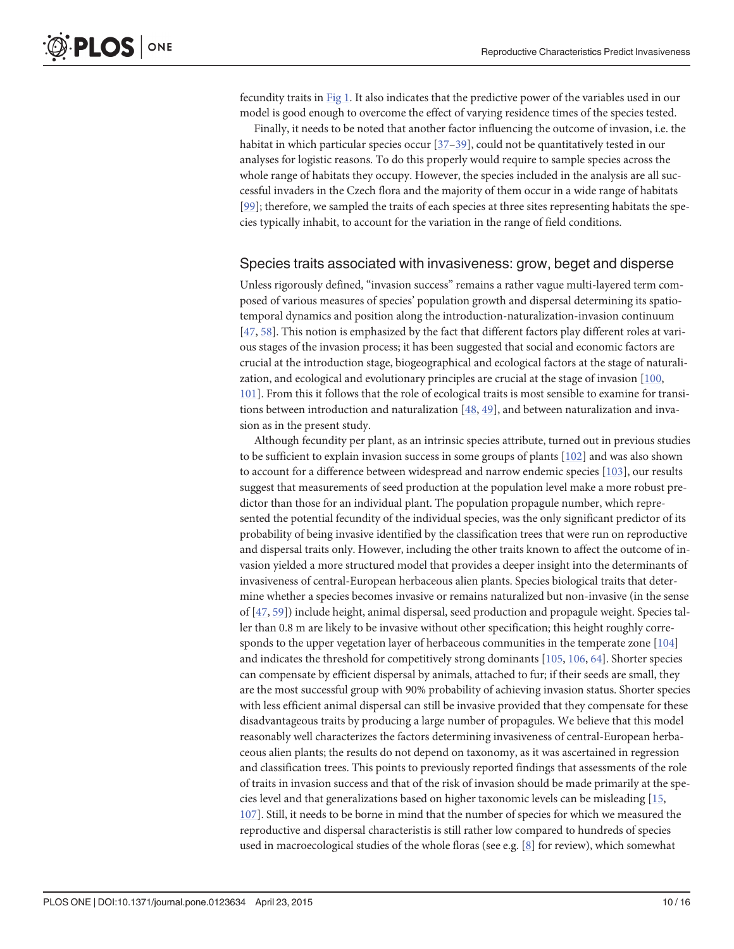<span id="page-9-0"></span>fecundity traits in [Fig 1.](#page-7-0) It also indicates that the predictive power of the variables used in our model is good enough to overcome the effect of varying residence times of the species tested.

Finally, it needs to be noted that another factor influencing the outcome of invasion, i.e. the habitat in which particular species occur [\[37](#page-12-0)-[39\]](#page-12-0), could not be quantitatively tested in our analyses for logistic reasons. To do this properly would require to sample species across the whole range of habitats they occupy. However, the species included in the analysis are all successful invaders in the Czech flora and the majority of them occur in a wide range of habitats [\[99](#page-14-0)]; therefore, we sampled the traits of each species at three sites representing habitats the species typically inhabit, to account for the variation in the range of field conditions.

### Species traits associated with invasiveness: grow, beget and disperse

Unless rigorously defined, "invasion success" remains a rather vague multi-layered term composed of various measures of species' population growth and dispersal determining its spatiotemporal dynamics and position along the introduction-naturalization-invasion continuum [\[47](#page-12-0), [58\]](#page-13-0). This notion is emphasized by the fact that different factors play different roles at various stages of the invasion process; it has been suggested that social and economic factors are crucial at the introduction stage, biogeographical and ecological factors at the stage of naturalization, and ecological and evolutionary principles are crucial at the stage of invasion  $[100,$  $[100,$ [101](#page-15-0)]. From this it follows that the role of ecological traits is most sensible to examine for transitions between introduction and naturalization  $[48, 49]$  $[48, 49]$  $[48, 49]$ , and between naturalization and invasion as in the present study.

Although fecundity per plant, as an intrinsic species attribute, turned out in previous studies to be sufficient to explain invasion success in some groups of plants [[102\]](#page-15-0) and was also shown to account for a difference between widespread and narrow endemic species  $[103]$  $[103]$ , our results suggest that measurements of seed production at the population level make a more robust predictor than those for an individual plant. The population propagule number, which represented the potential fecundity of the individual species, was the only significant predictor of its probability of being invasive identified by the classification trees that were run on reproductive and dispersal traits only. However, including the other traits known to affect the outcome of invasion yielded a more structured model that provides a deeper insight into the determinants of invasiveness of central-European herbaceous alien plants. Species biological traits that determine whether a species becomes invasive or remains naturalized but non-invasive (in the sense of [[47](#page-12-0), [59](#page-13-0)]) include height, animal dispersal, seed production and propagule weight. Species taller than 0.8 m are likely to be invasive without other specification; this height roughly corresponds to the upper vegetation layer of herbaceous communities in the temperate zone [[104\]](#page-15-0) and indicates the threshold for competitively strong dominants [\[105,](#page-15-0) [106](#page-15-0), [64](#page-13-0)]. Shorter species can compensate by efficient dispersal by animals, attached to fur; if their seeds are small, they are the most successful group with 90% probability of achieving invasion status. Shorter species with less efficient animal dispersal can still be invasive provided that they compensate for these disadvantageous traits by producing a large number of propagules. We believe that this model reasonably well characterizes the factors determining invasiveness of central-European herbaceous alien plants; the results do not depend on taxonomy, as it was ascertained in regression and classification trees. This points to previously reported findings that assessments of the role of traits in invasion success and that of the risk of invasion should be made primarily at the species level and that generalizations based on higher taxonomic levels can be misleading [\[15,](#page-11-0) [107](#page-15-0)]. Still, it needs to be borne in mind that the number of species for which we measured the reproductive and dispersal characteristis is still rather low compared to hundreds of species used in macroecological studies of the whole floras (see e.g.  $[8]$  $[8]$  $[8]$  for review), which somewhat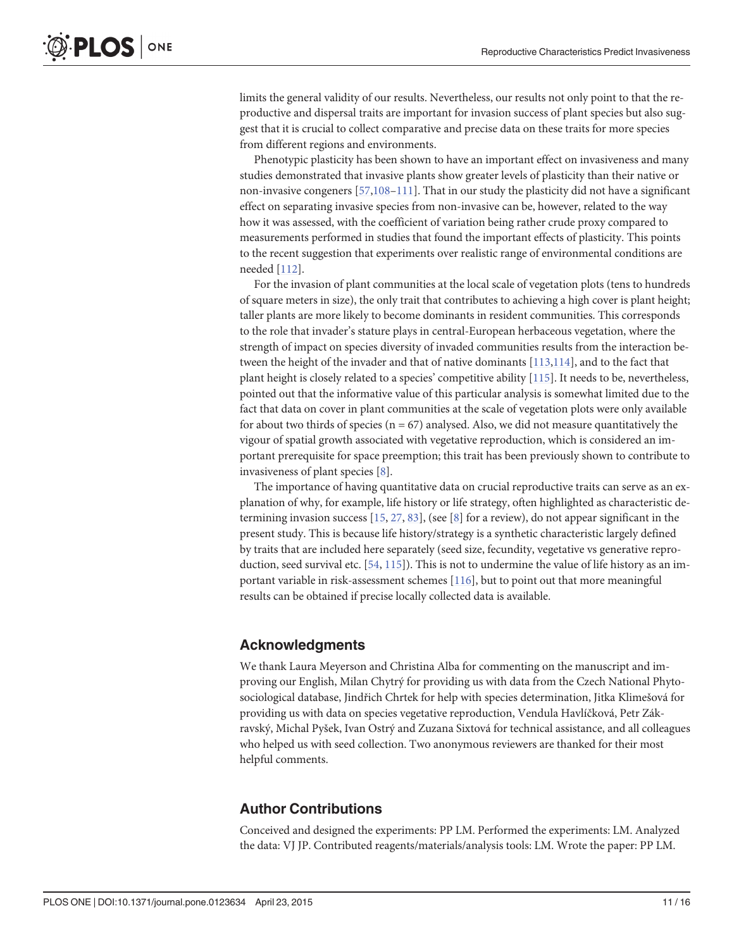<span id="page-10-0"></span>limits the general validity of our results. Nevertheless, our results not only point to that the reproductive and dispersal traits are important for invasion success of plant species but also suggest that it is crucial to collect comparative and precise data on these traits for more species from different regions and environments.

Phenotypic plasticity has been shown to have an important effect on invasiveness and many studies demonstrated that invasive plants show greater levels of plasticity than their native or non-invasive congeners [\[57](#page-13-0)[,108](#page-15-0)–[111](#page-15-0)]. That in our study the plasticity did not have a significant effect on separating invasive species from non-invasive can be, however, related to the way how it was assessed, with the coefficient of variation being rather crude proxy compared to measurements performed in studies that found the important effects of plasticity. This points to the recent suggestion that experiments over realistic range of environmental conditions are needed [\[112](#page-15-0)].

For the invasion of plant communities at the local scale of vegetation plots (tens to hundreds of square meters in size), the only trait that contributes to achieving a high cover is plant height; taller plants are more likely to become dominants in resident communities. This corresponds to the role that invader's stature plays in central-European herbaceous vegetation, where the strength of impact on species diversity of invaded communities results from the interaction between the height of the invader and that of native dominants [[113,114\]](#page-15-0), and to the fact that plant height is closely related to a species' competitive ability [[115\]](#page-15-0). It needs to be, nevertheless, pointed out that the informative value of this particular analysis is somewhat limited due to the fact that data on cover in plant communities at the scale of vegetation plots were only available for about two thirds of species ( $n = 67$ ) analysed. Also, we did not measure quantitatively the vigour of spatial growth associated with vegetative reproduction, which is considered an important prerequisite for space preemption; this trait has been previously shown to contribute to invasiveness of plant species [\[8](#page-11-0)].

The importance of having quantitative data on crucial reproductive traits can serve as an explanation of why, for example, life history or life strategy, often highlighted as characteristic determining invasion success [\[15,](#page-11-0) [27,](#page-12-0) [83\]](#page-14-0), (see [\[8](#page-11-0)] for a review), do not appear significant in the present study. This is because life history/strategy is a synthetic characteristic largely defined by traits that are included here separately (seed size, fecundity, vegetative vs generative reproduction, seed survival etc. [\[54,](#page-13-0) [115](#page-15-0)]). This is not to undermine the value of life history as an important variable in risk-assessment schemes [[116](#page-15-0)], but to point out that more meaningful results can be obtained if precise locally collected data is available.

# Acknowledgments

We thank Laura Meyerson and Christina Alba for commenting on the manuscript and improving our English, Milan Chytrý for providing us with data from the Czech National Phytosociological database, Jindřich Chrtek for help with species determination, Jitka Klimešová for providing us with data on species vegetative reproduction, Vendula Havlíčková, Petr Zákravský, Michal Pyšek, Ivan Ostrý and Zuzana Sixtová for technical assistance, and all colleagues who helped us with seed collection. Two anonymous reviewers are thanked for their most helpful comments.

# Author Contributions

Conceived and designed the experiments: PP LM. Performed the experiments: LM. Analyzed the data: VJ JP. Contributed reagents/materials/analysis tools: LM. Wrote the paper: PP LM.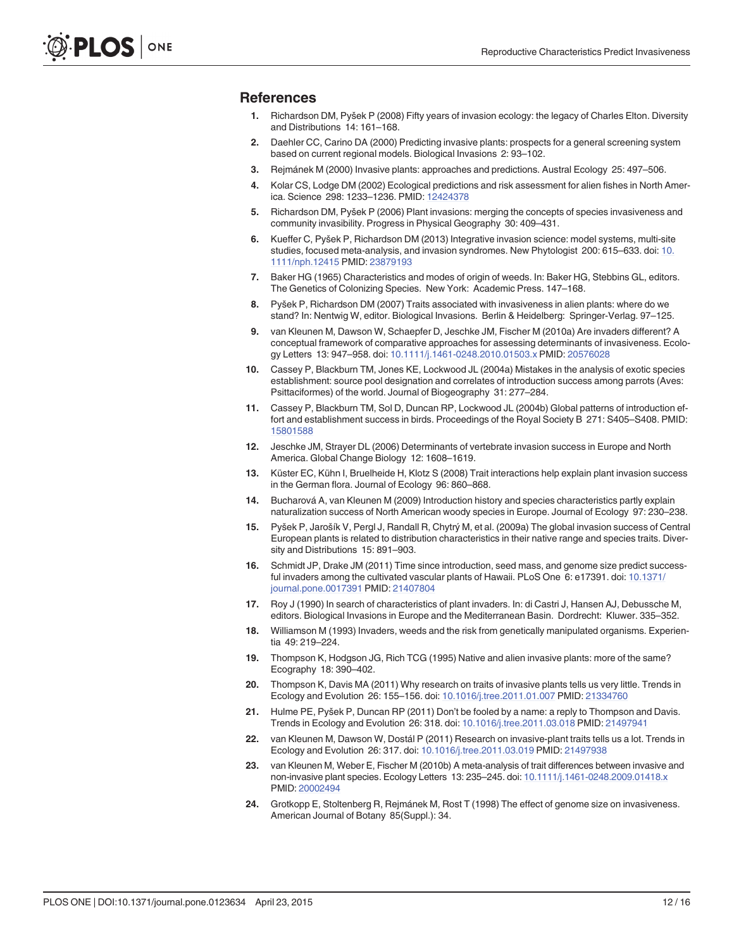#### <span id="page-11-0"></span>**References**

- [1.](#page-0-0) Richardson DM, Pyšek P (2008) Fifty years of invasion ecology: the legacy of Charles Elton. Diversity and Distributions 14: 161–168.
- [2.](#page-0-0) Daehler CC, Carino DA (2000) Predicting invasive plants: prospects for a general screening system based on current regional models. Biological Invasions 2: 93–102.
- [3.](#page-1-0) Rejmánek M (2000) Invasive plants: approaches and predictions. Austral Ecology 25: 497–506.
- 4. Kolar CS, Lodge DM (2002) Ecological predictions and risk assessment for alien fishes in North Amer-ica. Science 298: 1233-1236. PMID: [12424378](http://www.ncbi.nlm.nih.gov/pubmed/12424378)
- [5.](#page-1-0) Richardson DM, Pyšek P (2006) Plant invasions: merging the concepts of species invasiveness and community invasibility. Progress in Physical Geography 30: 409–431.
- [6.](#page-0-0) Kueffer C, Pyšek P, Richardson DM (2013) Integrative invasion science: model systems, multi-site studies, focused meta-analysis, and invasion syndromes. New Phytologist 200: 615–633. doi: [10.](http://dx.doi.org/10.1111/nph.12415) [1111/nph.12415](http://dx.doi.org/10.1111/nph.12415) PMID: [23879193](http://www.ncbi.nlm.nih.gov/pubmed/23879193)
- [7.](#page-0-0) Baker HG (1965) Characteristics and modes of origin of weeds. In: Baker HG, Stebbins GL, editors. The Genetics of Colonizing Species. New York: Academic Press. 147–168.
- [8.](#page-0-0) Pyšek P, Richardson DM (2007) Traits associated with invasiveness in alien plants: where do we stand? In: Nentwig W, editor. Biological Invasions. Berlin & Heidelberg: Springer-Verlag. 97–125.
- [9.](#page-0-0) van Kleunen M, Dawson W, Schaepfer D, Jeschke JM, Fischer M (2010a) Are invaders different? A conceptual framework of comparative approaches for assessing determinants of invasiveness. Ecology Letters 13: 947–958. doi: [10.1111/j.1461-0248.2010.01503.x](http://dx.doi.org/10.1111/j.1461-0248.2010.01503.x) PMID: [20576028](http://www.ncbi.nlm.nih.gov/pubmed/20576028)
- [10.](#page-0-0) Cassey P, Blackburn TM, Jones KE, Lockwood JL (2004a) Mistakes in the analysis of exotic species establishment: source pool designation and correlates of introduction success among parrots (Aves: Psittaciformes) of the world. Journal of Biogeography 31: 277–284.
- [11.](#page-1-0) Cassey P, Blackburn TM, Sol D, Duncan RP, Lockwood JL (2004b) Global patterns of introduction effort and establishment success in birds. Proceedings of the Royal Society B 271: S405–S408. PMID: [15801588](http://www.ncbi.nlm.nih.gov/pubmed/15801588)
- 12. Jeschke JM, Strayer DL (2006) Determinants of vertebrate invasion success in Europe and North America. Global Change Biology 12: 1608–1619.
- [13.](#page-1-0) Küster EC, Kühn I, Bruelheide H, Klotz S (2008) Trait interactions help explain plant invasion success in the German flora. Journal of Ecology 96: 860–868.
- 14. Bucharová A, van Kleunen M (2009) Introduction history and species characteristics partly explain naturalization success of North American woody species in Europe. Journal of Ecology 97: 230–238.
- [15.](#page-1-0) Pyšek P, Jarošík V, Pergl J, Randall R, Chytrý M, et al. (2009a) The global invasion success of Central European plants is related to distribution characteristics in their native range and species traits. Diversity and Distributions 15: 891–903.
- [16.](#page-0-0) Schmidt JP, Drake JM (2011) Time since introduction, seed mass, and genome size predict successful invaders among the cultivated vascular plants of Hawaii. PLoS One 6: e17391. doi: [10.1371/](http://dx.doi.org/10.1371/journal.pone.0017391) [journal.pone.0017391](http://dx.doi.org/10.1371/journal.pone.0017391) PMID: [21407804](http://www.ncbi.nlm.nih.gov/pubmed/21407804)
- [17.](#page-0-0) Roy J (1990) In search of characteristics of plant invaders. In: di Castri J, Hansen AJ, Debussche M, editors. Biological Invasions in Europe and the Mediterranean Basin. Dordrecht: Kluwer. 335–352.
- 18. Williamson M (1993) Invaders, weeds and the risk from genetically manipulated organisms. Experientia 49: 219–224.
- 19. Thompson K, Hodgson JG, Rich TCG (1995) Native and alien invasive plants: more of the same? Ecography 18: 390–402.
- [20.](#page-0-0) Thompson K, Davis MA (2011) Why research on traits of invasive plants tells us very little. Trends in Ecology and Evolution 26: 155–156. doi: [10.1016/j.tree.2011.01.007](http://dx.doi.org/10.1016/j.tree.2011.01.007) PMID: [21334760](http://www.ncbi.nlm.nih.gov/pubmed/21334760)
- [21.](#page-0-0) Hulme PE, Pyšek P, Duncan RP (2011) Don't be fooled by a name: a reply to Thompson and Davis. Trends in Ecology and Evolution 26: 318. doi: [10.1016/j.tree.2011.03.018](http://dx.doi.org/10.1016/j.tree.2011.03.018) PMID: [21497941](http://www.ncbi.nlm.nih.gov/pubmed/21497941)
- [22.](#page-0-0) van Kleunen M, Dawson W, Dostál P (2011) Research on invasive-plant traits tells us a lot. Trends in Ecology and Evolution 26: 317. doi: [10.1016/j.tree.2011.03.019](http://dx.doi.org/10.1016/j.tree.2011.03.019) PMID: [21497938](http://www.ncbi.nlm.nih.gov/pubmed/21497938)
- [23.](#page-1-0) van Kleunen M, Weber E, Fischer M (2010b) A meta-analysis of trait differences between invasive and non-invasive plant species. Ecology Letters 13: 235-245. doi: [10.1111/j.1461-0248.2009.01418.x](http://dx.doi.org/10.1111/j.1461-0248.2009.01418.x) PMID: [20002494](http://www.ncbi.nlm.nih.gov/pubmed/20002494)
- [24.](#page-1-0) Grotkopp E, Stoltenberg R, Rejmánek M, Rost T (1998) The effect of genome size on invasiveness. American Journal of Botany 85(Suppl.): 34.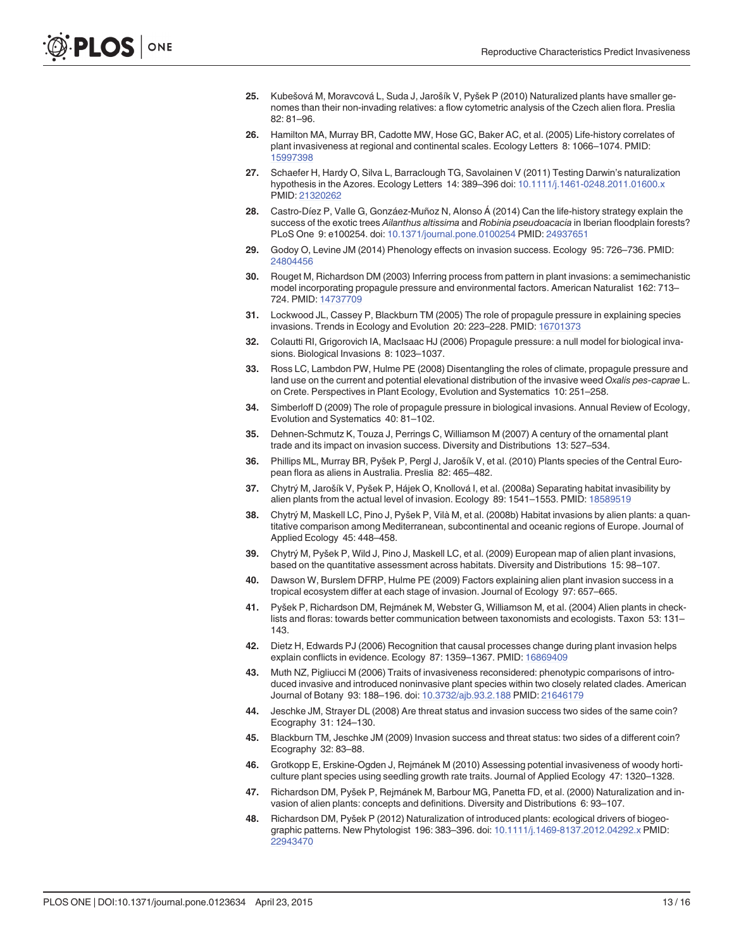- <span id="page-12-0"></span>[25.](#page-1-0) Kubešová M, Moravcová L, Suda J, Jarošík V, Pyšek P (2010) Naturalized plants have smaller genomes than their non-invading relatives: a flow cytometric analysis of the Czech alien flora. Preslia 82: 81–96.
- [26.](#page-1-0) Hamilton MA, Murray BR, Cadotte MW, Hose GC, Baker AC, et al. (2005) Life-history correlates of plant invasiveness at regional and continental scales. Ecology Letters 8: 1066–1074. PMID: [15997398](http://www.ncbi.nlm.nih.gov/pubmed/15997398)
- [27.](#page-10-0) Schaefer H, Hardy O, Silva L, Barraclough TG, Savolainen V (2011) Testing Darwin's naturalization hypothesis in the Azores. Ecology Letters 14: 389–396 doi: [10.1111/j.1461-0248.2011.01600.x](http://dx.doi.org/10.1111/j.1461-0248.2011.01600.x) PMID: [21320262](http://www.ncbi.nlm.nih.gov/pubmed/21320262)
- [28.](#page-1-0) Castro-Díez P, Valle G, Gonzáez-Muñoz N, Alonso Á (2014) Can the life-history strategy explain the success of the exotic trees Ailanthus altissima and Robinia pseudoacacia in Iberian floodplain forests? PLoS One 9: e100254. doi: [10.1371/journal.pone.0100254](http://dx.doi.org/10.1371/journal.pone.0100254) PMID: [24937651](http://www.ncbi.nlm.nih.gov/pubmed/24937651)
- [29.](#page-1-0) Godoy O, Levine JM (2014) Phenology effects on invasion success. Ecology 95: 726–736. PMID: [24804456](http://www.ncbi.nlm.nih.gov/pubmed/24804456)
- [30.](#page-1-0) Rouget M, Richardson DM (2003) Inferring process from pattern in plant invasions: a semimechanistic model incorporating propagule pressure and environmental factors. American Naturalist 162: 713– 724. PMID: [14737709](http://www.ncbi.nlm.nih.gov/pubmed/14737709)
- 31. Lockwood JL, Cassey P, Blackburn TM (2005) The role of propagule pressure in explaining species invasions. Trends in Ecology and Evolution 20: 223–228. PMID: [16701373](http://www.ncbi.nlm.nih.gov/pubmed/16701373)
- 32. Colautti RI, Grigorovich IA, MacIsaac HJ (2006) Propagule pressure: a null model for biological invasions. Biological Invasions 8: 1023–1037.
- 33. Ross LC, Lambdon PW, Hulme PE (2008) Disentangling the roles of climate, propagule pressure and land use on the current and potential elevational distribution of the invasive weed Oxalis pes-caprae L. on Crete. Perspectives in Plant Ecology, Evolution and Systematics 10: 251–258.
- [34.](#page-1-0) Simberloff D (2009) The role of propagule pressure in biological invasions. Annual Review of Ecology, Evolution and Systematics 40: 81–102.
- [35.](#page-1-0) Dehnen-Schmutz K, Touza J, Perrings C, Williamson M (2007) A century of the ornamental plant trade and its impact on invasion success. Diversity and Distributions 13: 527–534.
- [36.](#page-1-0) Phillips ML, Murray BR, Pyšek P, Pergl J, Jarošík V, et al. (2010) Plants species of the Central European flora as aliens in Australia. Preslia 82: 465–482.
- [37.](#page-1-0) Chytrý M, Jarošík V, Pyšek P, Hájek O, Knollová I, et al. (2008a) Separating habitat invasibility by alien plants from the actual level of invasion. Ecology 89: 1541-1553. PMID: [18589519](http://www.ncbi.nlm.nih.gov/pubmed/18589519)
- 38. Chytrý M, Maskell LC, Pino J, Pyšek P, Vilà M, et al. (2008b) Habitat invasions by alien plants: a quantitative comparison among Mediterranean, subcontinental and oceanic regions of Europe. Journal of Applied Ecology 45: 448–458.
- [39.](#page-1-0) Chytrý M, Pyšek P, Wild J, Pino J, Maskell LC, et al. (2009) European map of alien plant invasions, based on the quantitative assessment across habitats. Diversity and Distributions 15: 98–107.
- [40.](#page-1-0) Dawson W, Burslem DFRP, Hulme PE (2009) Factors explaining alien plant invasion success in a tropical ecosystem differ at each stage of invasion. Journal of Ecology 97: 657–665.
- [41.](#page-1-0) Pyšek P, Richardson DM, Rejmánek M, Webster G, Williamson M, et al. (2004) Alien plants in checklists and floras: towards better communication between taxonomists and ecologists. Taxon 53: 131– 143.
- 42. Dietz H, Edwards PJ (2006) Recognition that causal processes change during plant invasion helps explain conflicts in evidence. Ecology 87: 1359–1367. PMID: [16869409](http://www.ncbi.nlm.nih.gov/pubmed/16869409)
- [43.](#page-1-0) Muth NZ, Pigliucci M (2006) Traits of invasiveness reconsidered: phenotypic comparisons of introduced invasive and introduced noninvasive plant species within two closely related clades. American Journal of Botany 93: 188–196. doi: [10.3732/ajb.93.2.188](http://dx.doi.org/10.3732/ajb.93.2.188) PMID: [21646179](http://www.ncbi.nlm.nih.gov/pubmed/21646179)
- [44.](#page-1-0) Jeschke JM, Strayer DL (2008) Are threat status and invasion success two sides of the same coin? Ecography 31: 124–130.
- [45.](#page-1-0) Blackburn TM, Jeschke JM (2009) Invasion success and threat status: two sides of a different coin? Ecography 32: 83–88.
- [46.](#page-1-0) Grotkopp E, Erskine-Ogden J, Rejmánek M (2010) Assessing potential invasiveness of woody horticulture plant species using seedling growth rate traits. Journal of Applied Ecology 47: 1320–1328.
- [47.](#page-1-0) Richardson DM, Pyšek P, Rejmánek M, Barbour MG, Panetta FD, et al. (2000) Naturalization and invasion of alien plants: concepts and definitions. Diversity and Distributions 6: 93–107.
- [48.](#page-1-0) Richardson DM, Pyšek P (2012) Naturalization of introduced plants: ecological drivers of biogeo-graphic patterns. New Phytologist 196: 383-396. doi: [10.1111/j.1469-8137.2012.04292.x](http://dx.doi.org/10.1111/j.1469-8137.2012.04292.x) PMID: [22943470](http://www.ncbi.nlm.nih.gov/pubmed/22943470)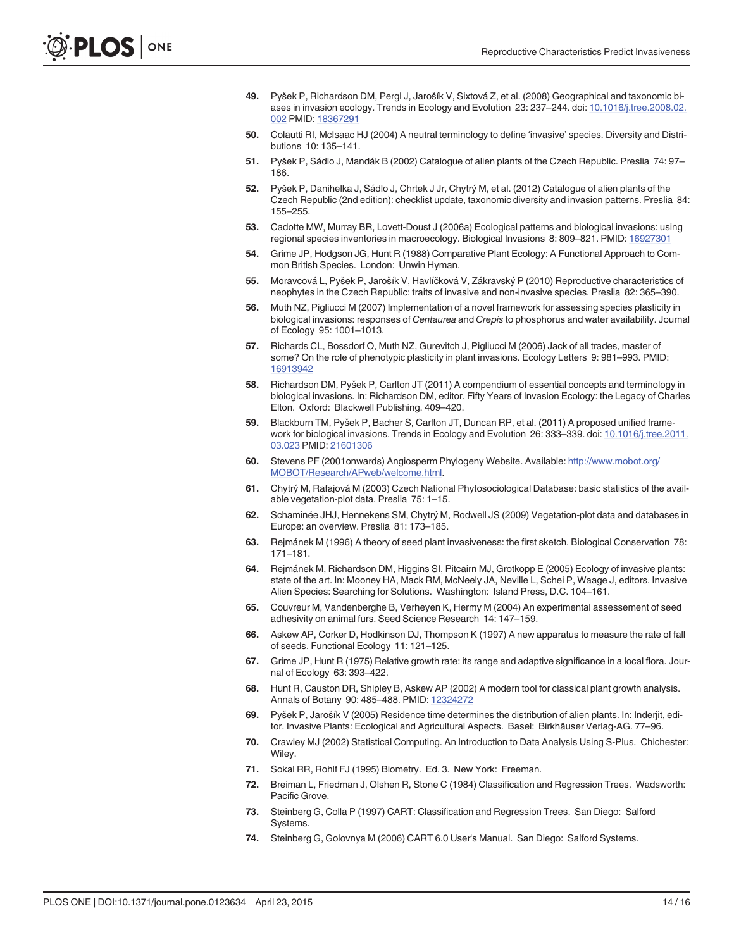- <span id="page-13-0"></span>[49.](#page-1-0) Pyšek P, Richardson DM, Pergl J, Jarošík V, Sixtová Z, et al. (2008) Geographical and taxonomic biases in invasion ecology. Trends in Ecology and Evolution 23: 237–244. doi: [10.1016/j.tree.2008.02.](http://dx.doi.org/10.1016/j.tree.2008.02.002) [002](http://dx.doi.org/10.1016/j.tree.2008.02.002) PMID: [18367291](http://www.ncbi.nlm.nih.gov/pubmed/18367291)
- [50.](#page-1-0) Colautti RI, McIsaac HJ (2004) A neutral terminology to define 'invasive' species. Diversity and Distributions 10: 135–141.
- [51.](#page-1-0) Pyšek P, Sádlo J, Mandák B (2002) Catalogue of alien plants of the Czech Republic. Preslia 74: 97– 186.
- [52.](#page-1-0) Pyšek P, Danihelka J, Sádlo J, Chrtek J Jr, Chytrý M, et al. (2012) Catalogue of alien plants of the Czech Republic (2nd edition): checklist update, taxonomic diversity and invasion patterns. Preslia 84: 155–255.
- [53.](#page-2-0) Cadotte MW, Murray BR, Lovett-Doust J (2006a) Ecological patterns and biological invasions: using regional species inventories in macroecology. Biological Invasions 8: 809–821. PMID: [16927301](http://www.ncbi.nlm.nih.gov/pubmed/16927301)
- [54.](#page-2-0) Grime JP, Hodgson JG, Hunt R (1988) Comparative Plant Ecology: A Functional Approach to Common British Species. London: Unwin Hyman.
- [55.](#page-2-0) Moravcová L, Pyšek P, Jarošík V, Havlíčková V, Zákravský P (2010) Reproductive characteristics of neophytes in the Czech Republic: traits of invasive and non-invasive species. Preslia 82: 365–390.
- [56.](#page-2-0) Muth NZ, Pigliucci M (2007) Implementation of a novel framework for assessing species plasticity in biological invasions: responses of Centaurea and Crepis to phosphorus and water availability. Journal of Ecology 95: 1001–1013.
- [57.](#page-2-0) Richards CL, Bossdorf O, Muth NZ, Gurevitch J, Pigliucci M (2006) Jack of all trades, master of some? On the role of phenotypic plasticity in plant invasions. Ecology Letters 9: 981–993. PMID: [16913942](http://www.ncbi.nlm.nih.gov/pubmed/16913942)
- [58.](#page-2-0) Richardson DM, Pyšek P, Carlton JT (2011) A compendium of essential concepts and terminology in biological invasions. In: Richardson DM, editor. Fifty Years of Invasion Ecology: the Legacy of Charles Elton. Oxford: Blackwell Publishing. 409–420.
- [59.](#page-2-0) Blackburn TM, Pyšek P, Bacher S, Carlton JT, Duncan RP, et al. (2011) A proposed unified framework for biological invasions. Trends in Ecology and Evolution 26: 333–339. doi: [10.1016/j.tree.2011.](http://dx.doi.org/10.1016/j.tree.2011.03.023) [03.023](http://dx.doi.org/10.1016/j.tree.2011.03.023) PMID: [21601306](http://www.ncbi.nlm.nih.gov/pubmed/21601306)
- [60.](#page-2-0) Stevens PF (2001onwards) Angiosperm Phylogeny Website. Available: [http://www.mobot.org/](http://www.mobot.org/MOBOT/Research/APweb/welcome.html) [MOBOT/Research/APweb/welcome.html.](http://www.mobot.org/MOBOT/Research/APweb/welcome.html)
- [61.](#page-3-0) Chytrý M, Rafajová M (2003) Czech National Phytosociological Database: basic statistics of the available vegetation-plot data. Preslia 75: 1–15.
- [62.](#page-3-0) Schaminée JHJ, Hennekens SM, Chytrý M, Rodwell JS (2009) Vegetation-plot data and databases in Europe: an overview. Preslia 81: 173–185.
- [63.](#page-3-0) Rejmánek M (1996) A theory of seed plant invasiveness: the first sketch. Biological Conservation 78: 171–181.
- [64.](#page-3-0) Rejmánek M, Richardson DM, Higgins SI, Pitcairn MJ, Grotkopp E (2005) Ecology of invasive plants: state of the art. In: Mooney HA, Mack RM, McNeely JA, Neville L, Schei P, Waage J, editors. Invasive Alien Species: Searching for Solutions. Washington: Island Press, D.C. 104–161.
- [65.](#page-4-0) Couvreur M, Vandenberghe B, Verheyen K, Hermy M (2004) An experimental assessement of seed adhesivity on animal furs. Seed Science Research 14: 147–159.
- [66.](#page-4-0) Askew AP, Corker D, Hodkinson DJ, Thompson K (1997) A new apparatus to measure the rate of fall of seeds. Functional Ecology 11: 121–125.
- [67.](#page-4-0) Grime JP, Hunt R (1975) Relative growth rate: its range and adaptive significance in a local flora. Journal of Ecology 63: 393–422.
- [68.](#page-4-0) Hunt R, Causton DR, Shipley B, Askew AP (2002) A modern tool for classical plant growth analysis. Annals of Botany 90: 485–488. PMID: [12324272](http://www.ncbi.nlm.nih.gov/pubmed/12324272)
- [69.](#page-4-0) Pyšek P, Jarošík V (2005) Residence time determines the distribution of alien plants. In: Inderjit, editor. Invasive Plants: Ecological and Agricultural Aspects. Basel: Birkhäuser Verlag-AG. 77–96.
- [70.](#page-5-0) Crawley MJ (2002) Statistical Computing. An Introduction to Data Analysis Using S-Plus. Chichester: Wiley.
- [71.](#page-5-0) Sokal RR, Rohlf FJ (1995) Biometry. Ed. 3. New York: Freeman.
- [72.](#page-5-0) Breiman L, Friedman J, Olshen R, Stone C (1984) Classification and Regression Trees. Wadsworth: Pacific Grove.
- [73.](#page-5-0) Steinberg G, Colla P (1997) CART: Classification and Regression Trees. San Diego: Salford Systems.
- [74.](#page-5-0) Steinberg G, Golovnya M (2006) CART 6.0 User's Manual. San Diego: Salford Systems.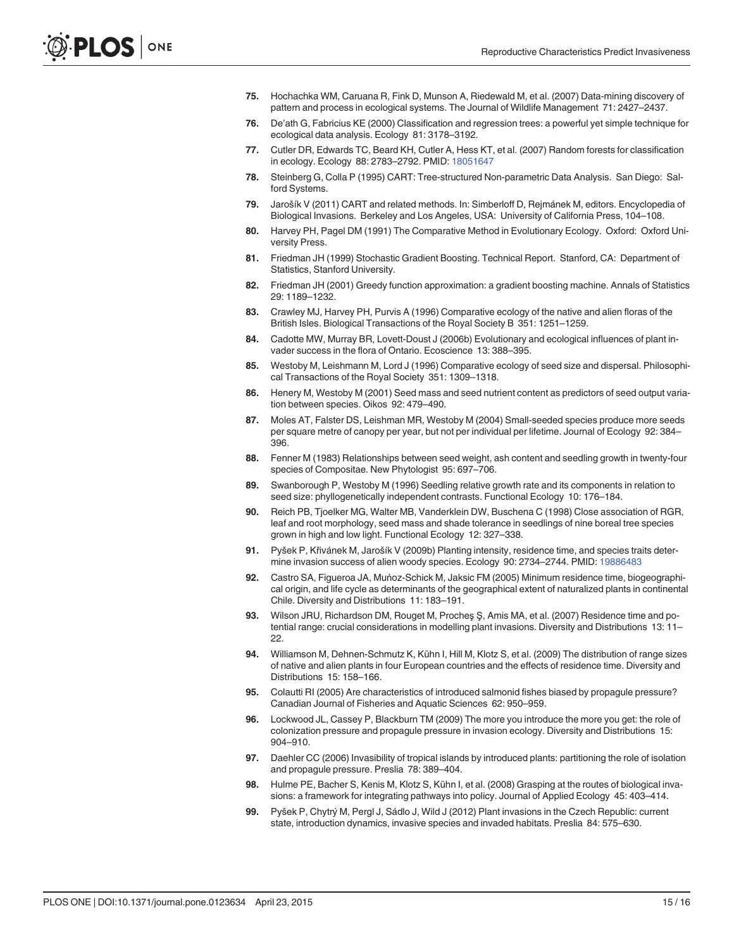- <span id="page-14-0"></span>[75.](#page-5-0) Hochachka WM, Caruana R, Fink D, Munson A, Riedewald M, et al. (2007) Data-mining discovery of pattern and process in ecological systems. The Journal of Wildlife Management 71: 2427–2437.
- [76.](#page-5-0) De'ath G, Fabricius KE (2000) Classification and regression trees: a powerful yet simple technique for ecological data analysis. Ecology 81: 3178–3192.
- [77.](#page-5-0) Cutler DR, Edwards TC, Beard KH, Cutler A, Hess KT, et al. (2007) Random forests for classification in ecology. Ecology 88: 2783-2792. PMID: [18051647](http://www.ncbi.nlm.nih.gov/pubmed/18051647)
- [78.](#page-5-0) Steinberg G, Colla P (1995) CART: Tree-structured Non-parametric Data Analysis. San Diego: Salford Systems.
- [79.](#page-6-0) Jarošík V (2011) CART and related methods. In: Simberloff D, Rejmánek M, editors. Encyclopedia of Biological Invasions. Berkeley and Los Angeles, USA: University of California Press, 104–108.
- [80.](#page-6-0) Harvey PH, Pagel DM (1991) The Comparative Method in Evolutionary Ecology. Oxford: Oxford University Press.
- [81.](#page-6-0) Friedman JH (1999) Stochastic Gradient Boosting. Technical Report. Stanford, CA: Department of Statistics, Stanford University.
- [82.](#page-6-0) Friedman JH (2001) Greedy function approximation: a gradient boosting machine. Annals of Statistics 29: 1189–1232.
- [83.](#page-8-0) Crawley MJ, Harvey PH, Purvis A (1996) Comparative ecology of the native and alien floras of the British Isles. Biological Transactions of the Royal Society B 351: 1251–1259.
- [84.](#page-8-0) Cadotte MW, Murray BR, Lovett-Doust J (2006b) Evolutionary and ecological influences of plant invader success in the flora of Ontario. Ecoscience 13: 388–395.
- [85.](#page-8-0) Westoby M, Leishmann M, Lord J (1996) Comparative ecology of seed size and dispersal. Philosophical Transactions of the Royal Society 351: 1309–1318.
- 86. Henery M, Westoby M (2001) Seed mass and seed nutrient content as predictors of seed output variation between species. Oikos 92: 479–490.
- [87.](#page-8-0) Moles AT, Falster DS, Leishman MR, Westoby M (2004) Small-seeded species produce more seeds per square metre of canopy per year, but not per individual per lifetime. Journal of Ecology 92: 384– 396.
- [88.](#page-8-0) Fenner M (1983) Relationships between seed weight, ash content and seedling growth in twenty-four species of Compositae. New Phytologist 95: 697–706.
- 89. Swanborough P, Westoby M (1996) Seedling relative growth rate and its components in relation to seed size: phyllogenetically independent contrasts. Functional Ecology 10: 176–184.
- [90.](#page-8-0) Reich PB, Tjoelker MG, Walter MB, Vanderklein DW, Buschena C (1998) Close association of RGR, leaf and root morphology, seed mass and shade tolerance in seedlings of nine boreal tree species grown in high and low light. Functional Ecology 12: 327–338.
- [91.](#page-8-0) Pyšek P, Křivánek M, Jarošík V (2009b) Planting intensity, residence time, and species traits determine invasion success of alien woody species. Ecology 90: 2734–2744. PMID: [19886483](http://www.ncbi.nlm.nih.gov/pubmed/19886483)
- 92. Castro SA, Figueroa JA, Muńoz-Schick M, Jaksic FM (2005) Minimum residence time, biogeographical origin, and life cycle as determinants of the geographical extent of naturalized plants in continental Chile. Diversity and Distributions 11: 183–191.
- [93.](#page-8-0) Wilson JRU, Richardson DM, Rouget M, Procheş Ş, Amis MA, et al. (2007) Residence time and potential range: crucial considerations in modelling plant invasions. Diversity and Distributions 13: 11– 22.
- [94.](#page-8-0) Williamson M, Dehnen-Schmutz K, Kühn I, Hill M, Klotz S, et al. (2009) The distribution of range sizes of native and alien plants in four European countries and the effects of residence time. Diversity and Distributions 15: 158–166.
- [95.](#page-8-0) Colautti RI (2005) Are characteristics of introduced salmonid fishes biased by propagule pressure? Canadian Journal of Fisheries and Aquatic Sciences 62: 950–959.
- 96. Lockwood JL, Cassey P, Blackburn TM (2009) The more you introduce the more you get: the role of colonization pressure and propagule pressure in invasion ecology. Diversity and Distributions 15: 904–910.
- [97.](#page-8-0) Daehler CC (2006) Invasibility of tropical islands by introduced plants: partitioning the role of isolation and propagule pressure. Preslia 78: 389–404.
- [98.](#page-8-0) Hulme PE, Bacher S, Kenis M, Klotz S, Kühn I, et al. (2008) Grasping at the routes of biological invasions: a framework for integrating pathways into policy. Journal of Applied Ecology 45: 403–414.
- [99.](#page-9-0) Pyšek P, Chytrý M, Pergl J, Sádlo J, Wild J (2012) Plant invasions in the Czech Republic: current state, introduction dynamics, invasive species and invaded habitats. Preslia 84: 575–630.